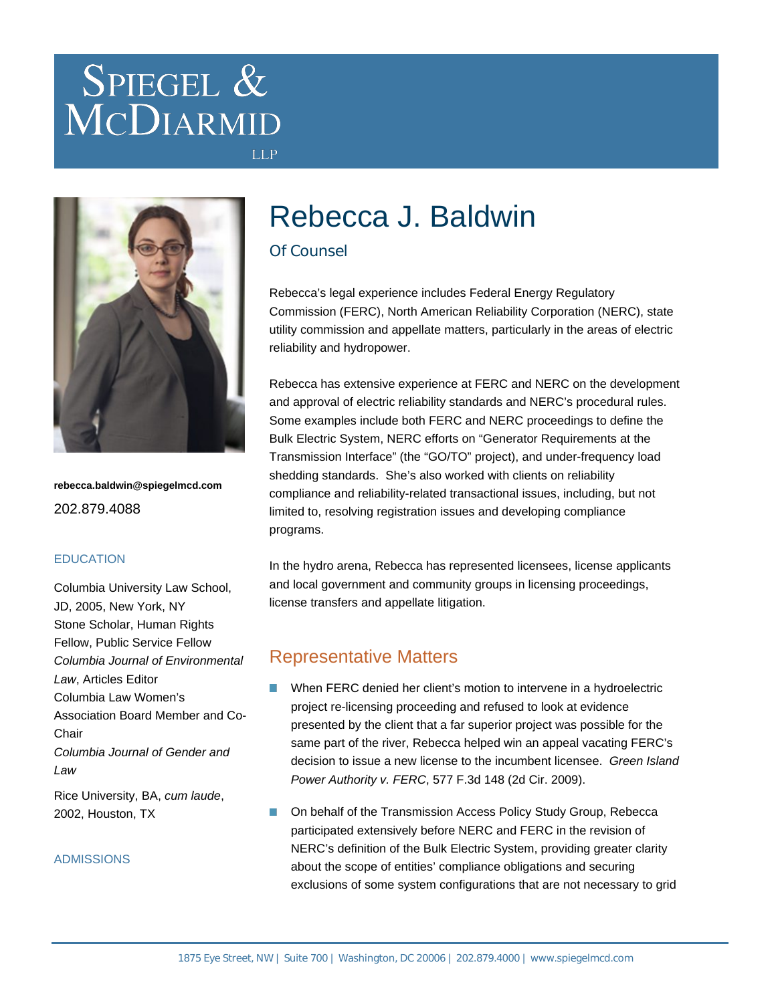# SPIEGEL & MCDIARMID



**rebecca.baldwin@spiegelmcd.com** 202.879.4088

#### **EDUCATION**

Columbia University Law School, JD, 2005, New York, NY Stone Scholar, Human Rights Fellow, Public Service Fellow Columbia Journal of Environmental Law, Articles Editor Columbia Law Women's Association Board Member and Co-Chair Columbia Journal of Gender and Law Rice University, BA, cum laude,

ADMISSIONS

2002, Houston, TX

## Rebecca J. Baldwin

## Of Counsel

**LLP** 

Rebecca's legal experience includes Federal Energy Regulatory Commission (FERC), North American Reliability Corporation (NERC), state utility commission and appellate matters, particularly in the areas of electric reliability and hydropower.

Rebecca has extensive experience at FERC and NERC on the development and approval of electric reliability standards and NERC's procedural rules. Some examples include both FERC and NERC proceedings to define the Bulk Electric System, NERC efforts on "Generator Requirements at the Transmission Interface" (the "GO/TO" project), and under-frequency load shedding standards. She's also worked with clients on reliability compliance and reliability-related transactional issues, including, but not limited to, resolving registration issues and developing compliance programs.

In the hydro arena, Rebecca has represented licensees, license applicants and local government and community groups in licensing proceedings, license transfers and appellate litigation.

## Representative Matters

- When FERC denied her client's motion to intervene in a hydroelectric project re-licensing proceeding and refused to look at evidence presented by the client that a far superior project was possible for the same part of the river, Rebecca helped win an appeal vacating FERC's decision to issue a new license to the incumbent licensee. Green Island Power Authority v. FERC, 577 F.3d 148 (2d Cir. 2009).
- On behalf of the Transmission Access Policy Study Group, Rebecca participated extensively before NERC and FERC in the revision of NERC's definition of the Bulk Electric System, providing greater clarity about the scope of entities' compliance obligations and securing exclusions of some system configurations that are not necessary to grid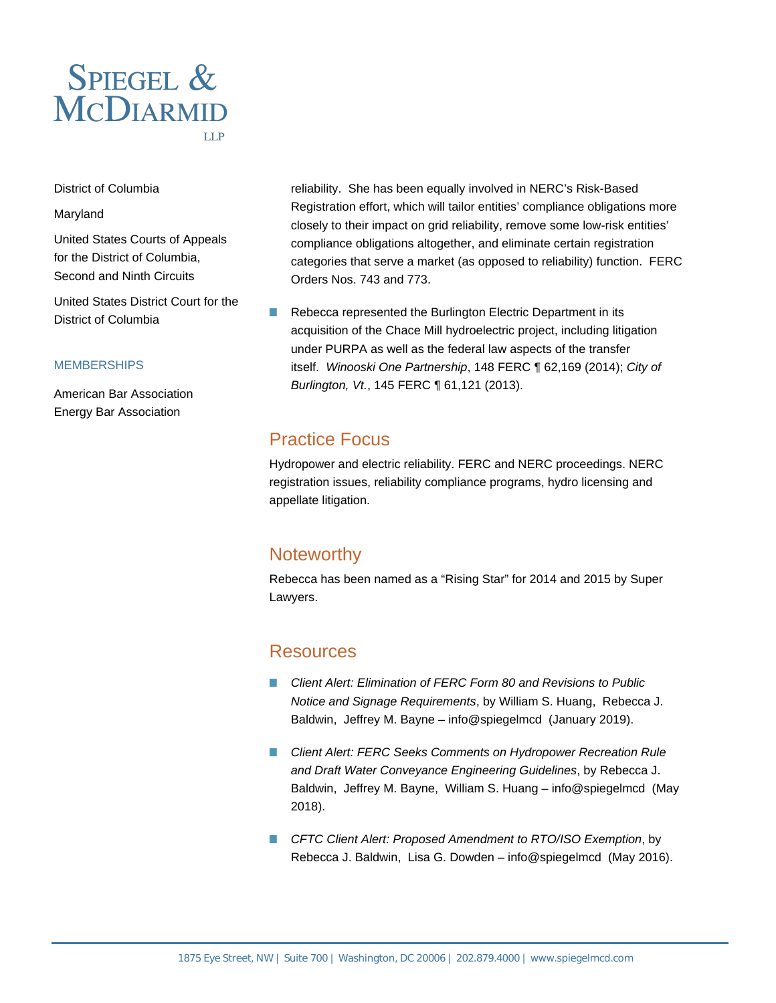

District of Columbia

#### Maryland

United States Courts of Appeals for the District of Columbia, Second and Ninth Circuits

United States District Court for the District of Columbia

#### **MEMBERSHIPS**

American Bar Association Energy Bar Association

reliability. She has been equally involved in NERC's Risk-Based Registration effort, which will tailor entities' compliance obligations more closely to their impact on grid reliability, remove some low-risk entities' compliance obligations altogether, and eliminate certain registration categories that serve a market (as opposed to reliability) function. FERC Orders Nos. 743 and 773.

 $\mathcal{L}_{\mathcal{A}}$ Rebecca represented the Burlington Electric Department in its acquisition of the Chace Mill hydroelectric project, including litigation under PURPA as well as the federal law aspects of the transfer itself. Winooski One Partnership, 148 FERC ¶ 62,169 (2014); City of Burlington, Vt., 145 FERC ¶ 61,121 (2013).

## Practice Focus

Hydropower and electric reliability. FERC and NERC proceedings. NERC registration issues, reliability compliance programs, hydro licensing and appellate litigation.

## **Noteworthy**

Rebecca has been named as a "Rising Star" for 2014 and 2015 by Super Lawyers.

### **Resources**

- [Client Alert: Elimination of FERC Form 80 and Revisions to Public](https://www.spiegelmcd.com/all-resources/client-alert-elimination-of-ferc-form-80-and-revisions-to-public-notice-and-signage-requirements/) n. [Notice and Signage Requirements](https://www.spiegelmcd.com/all-resources/client-alert-elimination-of-ferc-form-80-and-revisions-to-public-notice-and-signage-requirements/), by [William S. Huang,](https://www.spiegelmcd.com/professionals/william-huang/) [Rebecca J.](https://www.spiegelmcd.com/professionals/rebecca-baldwin/) [Baldwin](https://www.spiegelmcd.com/professionals/rebecca-baldwin/), [Jeffrey M. Bayne](https://www.spiegelmcd.com/professionals/jeffrey-bayne/) – info@spiegelmcd (January 2019).
- **E** [Client Alert: FERC Seeks Comments on Hydropower Recreation Rule](https://www.spiegelmcd.com/all-resources/client-alert-ferc-seeks-comments-on-hydropower-recreation-rule-and-draft-water-conveyance-engineering-guidelines/) [and Draft Water Conveyance Engineering Guidelines](https://www.spiegelmcd.com/all-resources/client-alert-ferc-seeks-comments-on-hydropower-recreation-rule-and-draft-water-conveyance-engineering-guidelines/), by [Rebecca J.](https://www.spiegelmcd.com/professionals/rebecca-baldwin/) [Baldwin](https://www.spiegelmcd.com/professionals/rebecca-baldwin/), [Jeffrey M. Bayne](https://www.spiegelmcd.com/professionals/jeffrey-bayne/), [William S. Huang](https://www.spiegelmcd.com/professionals/william-huang/) – info@spiegelmcd (May 2018).
- [CFTC Client Alert: Proposed Amendment to RTO/ISO Exemption](https://www.spiegelmcd.com/all-resources/cftc-client-alert-proposed-amendment-to-rto-iso-exemption/), by [Rebecca J. Baldwin,](https://www.spiegelmcd.com/professionals/rebecca-baldwin/) [Lisa G. Dowden](https://www.spiegelmcd.com/professionals/lisa-dowden/) – info@spiegelmcd (May 2016).